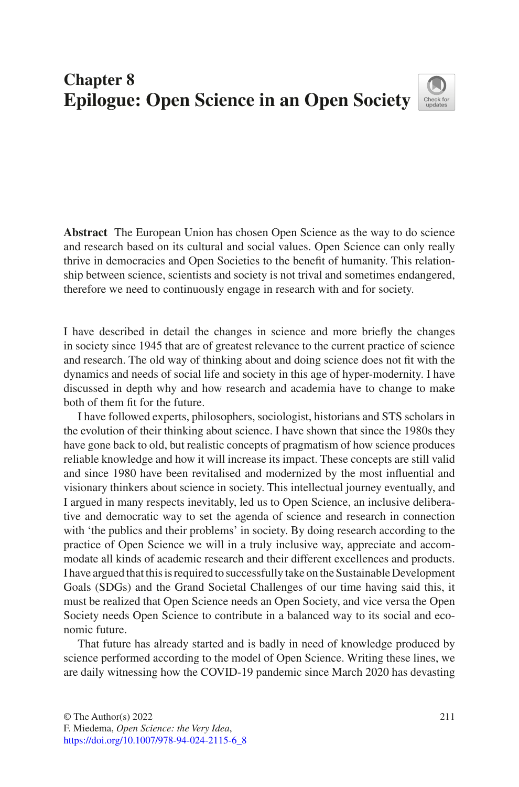## **Chapter 8 Epilogue: Open Science in an Open Society**



**Abstract** The European Union has chosen Open Science as the way to do science and research based on its cultural and social values. Open Science can only really thrive in democracies and Open Societies to the beneft of humanity. This relationship between science, scientists and society is not trival and sometimes endangered, therefore we need to continuously engage in research with and for society.

I have described in detail the changes in science and more briefy the changes in society since 1945 that are of greatest relevance to the current practice of science and research. The old way of thinking about and doing science does not ft with the dynamics and needs of social life and society in this age of hyper-modernity. I have discussed in depth why and how research and academia have to change to make both of them ft for the future.

I have followed experts, philosophers, sociologist, historians and STS scholars in the evolution of their thinking about science. I have shown that since the 1980s they have gone back to old, but realistic concepts of pragmatism of how science produces reliable knowledge and how it will increase its impact. These concepts are still valid and since 1980 have been revitalised and modernized by the most infuential and visionary thinkers about science in society. This intellectual journey eventually, and I argued in many respects inevitably, led us to Open Science, an inclusive deliberative and democratic way to set the agenda of science and research in connection with 'the publics and their problems' in society. By doing research according to the practice of Open Science we will in a truly inclusive way, appreciate and accommodate all kinds of academic research and their different excellences and products. I have argued that this is required to successfully take on the Sustainable Development Goals (SDGs) and the Grand Societal Challenges of our time having said this, it must be realized that Open Science needs an Open Society, and vice versa the Open Society needs Open Science to contribute in a balanced way to its social and economic future.

That future has already started and is badly in need of knowledge produced by science performed according to the model of Open Science. Writing these lines, we are daily witnessing how the COVID-19 pandemic since March 2020 has devasting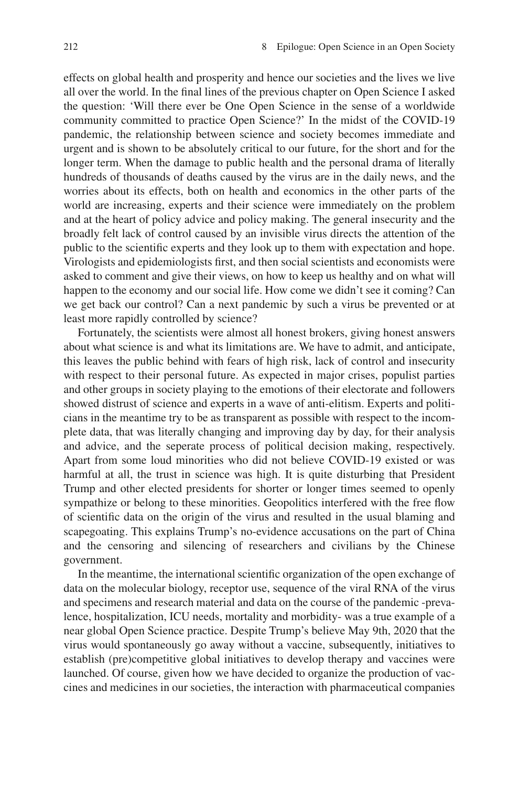effects on global health and prosperity and hence our societies and the lives we live all over the world. In the fnal lines of the previous chapter on Open Science I asked the question: 'Will there ever be One Open Science in the sense of a worldwide community committed to practice Open Science?' In the midst of the COVID-19 pandemic, the relationship between science and society becomes immediate and urgent and is shown to be absolutely critical to our future, for the short and for the longer term. When the damage to public health and the personal drama of literally hundreds of thousands of deaths caused by the virus are in the daily news, and the worries about its effects, both on health and economics in the other parts of the world are increasing, experts and their science were immediately on the problem and at the heart of policy advice and policy making. The general insecurity and the broadly felt lack of control caused by an invisible virus directs the attention of the public to the scientifc experts and they look up to them with expectation and hope. Virologists and epidemiologists frst, and then social scientists and economists were asked to comment and give their views, on how to keep us healthy and on what will happen to the economy and our social life. How come we didn't see it coming? Can we get back our control? Can a next pandemic by such a virus be prevented or at least more rapidly controlled by science?

Fortunately, the scientists were almost all honest brokers, giving honest answers about what science is and what its limitations are. We have to admit, and anticipate, this leaves the public behind with fears of high risk, lack of control and insecurity with respect to their personal future. As expected in major crises, populist parties and other groups in society playing to the emotions of their electorate and followers showed distrust of science and experts in a wave of anti-elitism. Experts and politicians in the meantime try to be as transparent as possible with respect to the incomplete data, that was literally changing and improving day by day, for their analysis and advice, and the seperate process of political decision making, respectively. Apart from some loud minorities who did not believe COVID-19 existed or was harmful at all, the trust in science was high. It is quite disturbing that President Trump and other elected presidents for shorter or longer times seemed to openly sympathize or belong to these minorities. Geopolitics interfered with the free flow of scientifc data on the origin of the virus and resulted in the usual blaming and scapegoating. This explains Trump's no-evidence accusations on the part of China and the censoring and silencing of researchers and civilians by the Chinese government.

In the meantime, the international scientifc organization of the open exchange of data on the molecular biology, receptor use, sequence of the viral RNA of the virus and specimens and research material and data on the course of the pandemic -prevalence, hospitalization, ICU needs, mortality and morbidity- was a true example of a near global Open Science practice. Despite Trump's believe May 9th, 2020 that the virus would spontaneously go away without a vaccine, subsequently, initiatives to establish (pre)competitive global initiatives to develop therapy and vaccines were launched. Of course, given how we have decided to organize the production of vaccines and medicines in our societies, the interaction with pharmaceutical companies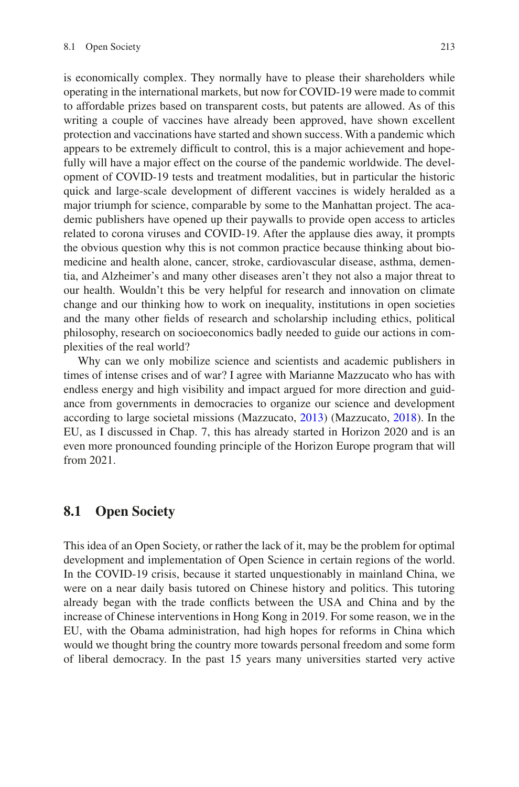is economically complex. They normally have to please their shareholders while operating in the international markets, but now for COVID-19 were made to commit to affordable prizes based on transparent costs, but patents are allowed. As of this writing a couple of vaccines have already been approved, have shown excellent protection and vaccinations have started and shown success. With a pandemic which appears to be extremely diffcult to control, this is a major achievement and hopefully will have a major effect on the course of the pandemic worldwide. The development of COVID-19 tests and treatment modalities, but in particular the historic quick and large-scale development of different vaccines is widely heralded as a major triumph for science, comparable by some to the Manhattan project. The academic publishers have opened up their paywalls to provide open access to articles related to corona viruses and COVID-19. After the applause dies away, it prompts the obvious question why this is not common practice because thinking about biomedicine and health alone, cancer, stroke, cardiovascular disease, asthma, dementia, and Alzheimer's and many other diseases aren't they not also a major threat to our health. Wouldn't this be very helpful for research and innovation on climate change and our thinking how to work on inequality, institutions in open societies and the many other felds of research and scholarship including ethics, political philosophy, research on socioeconomics badly needed to guide our actions in complexities of the real world?

Why can we only mobilize science and scientists and academic publishers in times of intense crises and of war? I agree with Marianne Mazzucato who has with endless energy and high visibility and impact argued for more direction and guidance from governments in democracies to organize our science and development according to large societal missions (Mazzucato, [2013](#page-7-0)) (Mazzucato, [2018](#page-7-1)). In the EU, as I discussed in Chap. 7, this has already started in Horizon 2020 and is an even more pronounced founding principle of the Horizon Europe program that will from 2021.

## **8.1 Open Society**

This idea of an Open Society, or rather the lack of it, may be the problem for optimal development and implementation of Open Science in certain regions of the world. In the COVID-19 crisis, because it started unquestionably in mainland China, we were on a near daily basis tutored on Chinese history and politics. This tutoring already began with the trade conficts between the USA and China and by the increase of Chinese interventions in Hong Kong in 2019. For some reason, we in the EU, with the Obama administration, had high hopes for reforms in China which would we thought bring the country more towards personal freedom and some form of liberal democracy. In the past 15 years many universities started very active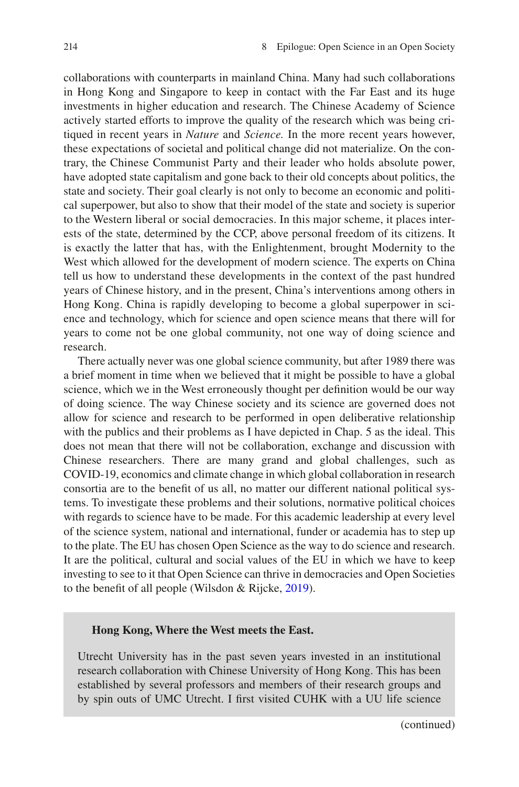collaborations with counterparts in mainland China. Many had such collaborations in Hong Kong and Singapore to keep in contact with the Far East and its huge investments in higher education and research. The Chinese Academy of Science actively started efforts to improve the quality of the research which was being critiqued in recent years in *Nature* and *Science.* In the more recent years however, these expectations of societal and political change did not materialize. On the contrary, the Chinese Communist Party and their leader who holds absolute power, have adopted state capitalism and gone back to their old concepts about politics, the state and society. Their goal clearly is not only to become an economic and political superpower, but also to show that their model of the state and society is superior to the Western liberal or social democracies. In this major scheme, it places interests of the state, determined by the CCP, above personal freedom of its citizens. It is exactly the latter that has, with the Enlightenment, brought Modernity to the West which allowed for the development of modern science. The experts on China tell us how to understand these developments in the context of the past hundred years of Chinese history, and in the present, China's interventions among others in Hong Kong. China is rapidly developing to become a global superpower in science and technology, which for science and open science means that there will for years to come not be one global community, not one way of doing science and research.

There actually never was one global science community, but after 1989 there was a brief moment in time when we believed that it might be possible to have a global science, which we in the West erroneously thought per defnition would be our way of doing science. The way Chinese society and its science are governed does not allow for science and research to be performed in open deliberative relationship with the publics and their problems as I have depicted in Chap. 5 as the ideal. This does not mean that there will not be collaboration, exchange and discussion with Chinese researchers. There are many grand and global challenges, such as COVID-19, economics and climate change in which global collaboration in research consortia are to the beneft of us all, no matter our different national political systems. To investigate these problems and their solutions, normative political choices with regards to science have to be made. For this academic leadership at every level of the science system, national and international, funder or academia has to step up to the plate. The EU has chosen Open Science as the way to do science and research. It are the political, cultural and social values of the EU in which we have to keep investing to see to it that Open Science can thrive in democracies and Open Societies to the beneft of all people (Wilsdon & Rijcke, [2019\)](#page-7-2).

## **Hong Kong, Where the West meets the East.**

Utrecht University has in the past seven years invested in an institutional research collaboration with Chinese University of Hong Kong. This has been established by several professors and members of their research groups and by spin outs of UMC Utrecht. I frst visited CUHK with a UU life science

(continued)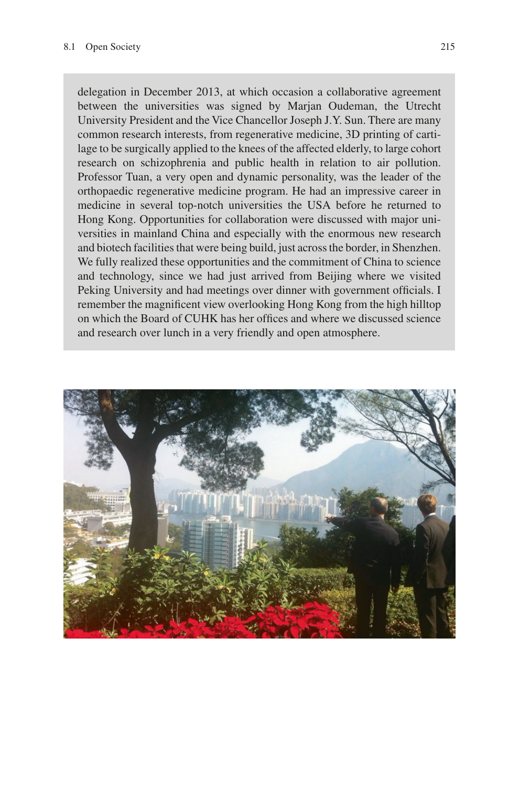delegation in December 2013, at which occasion a collaborative agreement between the universities was signed by Marjan Oudeman, the Utrecht University President and the Vice Chancellor Joseph J.Y. Sun. There are many common research interests, from regenerative medicine, 3D printing of cartilage to be surgically applied to the knees of the affected elderly, to large cohort research on schizophrenia and public health in relation to air pollution. Professor Tuan, a very open and dynamic personality, was the leader of the orthopaedic regenerative medicine program. He had an impressive career in medicine in several top-notch universities the USA before he returned to Hong Kong. Opportunities for collaboration were discussed with major universities in mainland China and especially with the enormous new research and biotech facilities that were being build, just across the border, in Shenzhen. We fully realized these opportunities and the commitment of China to science and technology, since we had just arrived from Beijing where we visited Peking University and had meetings over dinner with government officials. I remember the magnifcent view overlooking Hong Kong from the high hilltop on which the Board of CUHK has her offices and where we discussed science and research over lunch in a very friendly and open atmosphere.

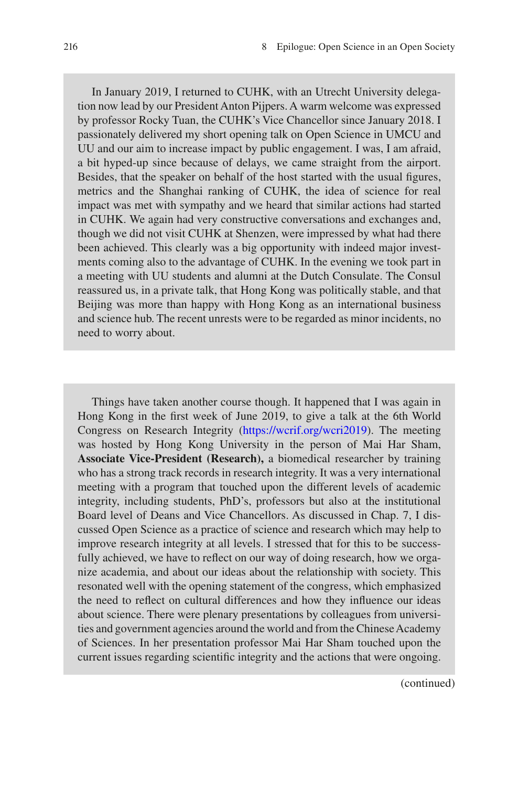In January 2019, I returned to CUHK, with an Utrecht University delegation now lead by our President Anton Pijpers. A warm welcome was expressed by professor Rocky Tuan, the CUHK's Vice Chancellor since January 2018. I passionately delivered my short opening talk on Open Science in UMCU and UU and our aim to increase impact by public engagement. I was, I am afraid, a bit hyped-up since because of delays, we came straight from the airport. Besides, that the speaker on behalf of the host started with the usual fgures, metrics and the Shanghai ranking of CUHK, the idea of science for real impact was met with sympathy and we heard that similar actions had started in CUHK. We again had very constructive conversations and exchanges and, though we did not visit CUHK at Shenzen, were impressed by what had there been achieved. This clearly was a big opportunity with indeed major investments coming also to the advantage of CUHK. In the evening we took part in a meeting with UU students and alumni at the Dutch Consulate. The Consul reassured us, in a private talk, that Hong Kong was politically stable, and that Beijing was more than happy with Hong Kong as an international business and science hub. The recent unrests were to be regarded as minor incidents, no need to worry about.

Things have taken another course though. It happened that I was again in Hong Kong in the frst week of June 2019, to give a talk at the 6th World Congress on Research Integrity ([https://wcrif.org/wcri2019\)](https://wcrif.org/wcri2019). The meeting was hosted by Hong Kong University in the person of Mai Har Sham, **Associate Vice-President (Research),** a biomedical researcher by training who has a strong track records in research integrity. It was a very international meeting with a program that touched upon the different levels of academic integrity, including students, PhD's, professors but also at the institutional Board level of Deans and Vice Chancellors. As discussed in Chap. 7, I discussed Open Science as a practice of science and research which may help to improve research integrity at all levels. I stressed that for this to be successfully achieved, we have to refect on our way of doing research, how we organize academia, and about our ideas about the relationship with society. This resonated well with the opening statement of the congress, which emphasized the need to refect on cultural differences and how they infuence our ideas about science. There were plenary presentations by colleagues from universities and government agencies around the world and from the Chinese Academy of Sciences. In her presentation professor Mai Har Sham touched upon the current issues regarding scientifc integrity and the actions that were ongoing.

(continued)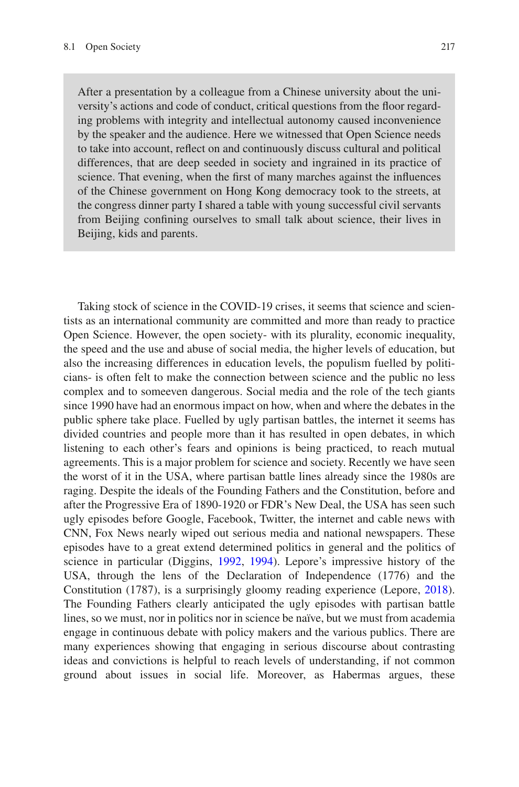After a presentation by a colleague from a Chinese university about the university's actions and code of conduct, critical questions from the foor regarding problems with integrity and intellectual autonomy caused inconvenience by the speaker and the audience. Here we witnessed that Open Science needs to take into account, refect on and continuously discuss cultural and political differences, that are deep seeded in society and ingrained in its practice of science. That evening, when the frst of many marches against the infuences of the Chinese government on Hong Kong democracy took to the streets, at the congress dinner party I shared a table with young successful civil servants from Beijing confning ourselves to small talk about science, their lives in Beijing, kids and parents.

Taking stock of science in the COVID-19 crises, it seems that science and scientists as an international community are committed and more than ready to practice Open Science. However, the open society- with its plurality, economic inequality, the speed and the use and abuse of social media, the higher levels of education, but also the increasing differences in education levels, the populism fuelled by politicians- is often felt to make the connection between science and the public no less complex and to someeven dangerous. Social media and the role of the tech giants since 1990 have had an enormous impact on how, when and where the debates in the public sphere take place. Fuelled by ugly partisan battles, the internet it seems has divided countries and people more than it has resulted in open debates, in which listening to each other's fears and opinions is being practiced, to reach mutual agreements. This is a major problem for science and society. Recently we have seen the worst of it in the USA, where partisan battle lines already since the 1980s are raging. Despite the ideals of the Founding Fathers and the Constitution, before and after the Progressive Era of 1890-1920 or FDR's New Deal, the USA has seen such ugly episodes before Google, Facebook, Twitter, the internet and cable news with CNN, Fox News nearly wiped out serious media and national newspapers. These episodes have to a great extend determined politics in general and the politics of science in particular (Diggins, [1992,](#page-7-3) [1994](#page-7-4)). Lepore's impressive history of the USA, through the lens of the Declaration of Independence (1776) and the Constitution (1787), is a surprisingly gloomy reading experience (Lepore, [2018\)](#page-7-5). The Founding Fathers clearly anticipated the ugly episodes with partisan battle lines, so we must, nor in politics nor in science be naïve, but we must from academia engage in continuous debate with policy makers and the various publics. There are many experiences showing that engaging in serious discourse about contrasting ideas and convictions is helpful to reach levels of understanding, if not common ground about issues in social life. Moreover, as Habermas argues, these